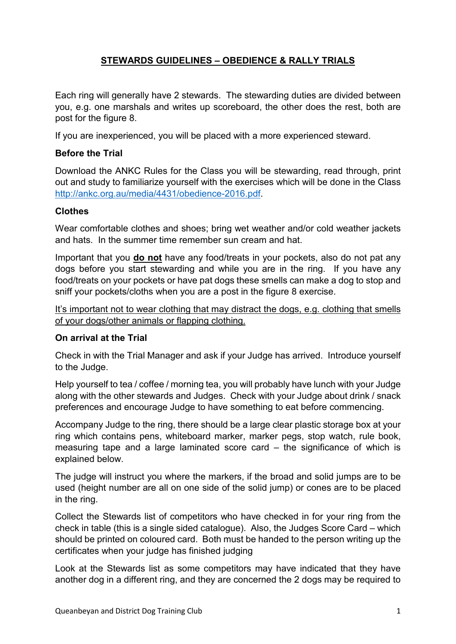## **STEWARDS GUIDELINES – OBEDIENCE & RALLY TRIALS**

Each ring will generally have 2 stewards. The stewarding duties are divided between you, e.g. one marshals and writes up scoreboard, the other does the rest, both are post for the figure 8.

If you are inexperienced, you will be placed with a more experienced steward.

## **Before the Trial**

Download the ANKC Rules for the Class you will be stewarding, read through, print out and study to familiarize yourself with the exercises which will be done in the Class [http://ankc.org.au/media/4431/obedience-2016.pdf.](http://ankc.org.au/media/4431/obedience-2016.pdf)

### **Clothes**

Wear comfortable clothes and shoes; bring wet weather and/or cold weather jackets and hats. In the summer time remember sun cream and hat.

Important that you **do not** have any food/treats in your pockets, also do not pat any dogs before you start stewarding and while you are in the ring. If you have any food/treats on your pockets or have pat dogs these smells can make a dog to stop and sniff your pockets/cloths when you are a post in the figure 8 exercise.

It's important not to wear clothing that may distract the dogs, e.g. clothing that smells of your dogs/other animals or flapping clothing.

### **On arrival at the Trial**

Check in with the Trial Manager and ask if your Judge has arrived. Introduce yourself to the Judge.

Help yourself to tea / coffee / morning tea, you will probably have lunch with your Judge along with the other stewards and Judges. Check with your Judge about drink / snack preferences and encourage Judge to have something to eat before commencing.

Accompany Judge to the ring, there should be a large clear plastic storage box at your ring which contains pens, whiteboard marker, marker pegs, stop watch, rule book, measuring tape and a large laminated score card – the significance of which is explained below.

The judge will instruct you where the markers, if the broad and solid jumps are to be used (height number are all on one side of the solid jump) or cones are to be placed in the ring.

Collect the Stewards list of competitors who have checked in for your ring from the check in table (this is a single sided catalogue). Also, the Judges Score Card – which should be printed on coloured card. Both must be handed to the person writing up the certificates when your judge has finished judging

Look at the Stewards list as some competitors may have indicated that they have another dog in a different ring, and they are concerned the 2 dogs may be required to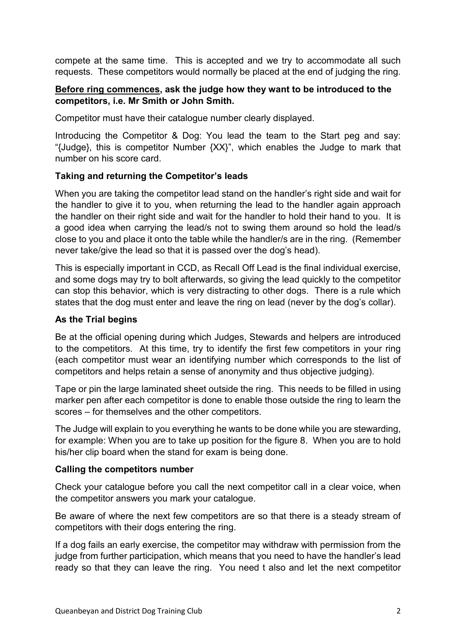compete at the same time. This is accepted and we try to accommodate all such requests. These competitors would normally be placed at the end of judging the ring.

### **Before ring commences, ask the judge how they want to be introduced to the competitors, i.e. Mr Smith or John Smith.**

Competitor must have their catalogue number clearly displayed.

Introducing the Competitor & Dog: You lead the team to the Start peg and say: "{Judge}, this is competitor Number {XX}", which enables the Judge to mark that number on his score card.

### **Taking and returning the Competitor's leads**

When you are taking the competitor lead stand on the handler's right side and wait for the handler to give it to you, when returning the lead to the handler again approach the handler on their right side and wait for the handler to hold their hand to you. It is a good idea when carrying the lead/s not to swing them around so hold the lead/s close to you and place it onto the table while the handler/s are in the ring. (Remember never take/give the lead so that it is passed over the dog's head).

This is especially important in CCD, as Recall Off Lead is the final individual exercise, and some dogs may try to bolt afterwards, so giving the lead quickly to the competitor can stop this behavior, which is very distracting to other dogs. There is a rule which states that the dog must enter and leave the ring on lead (never by the dog's collar).

### **As the Trial begins**

Be at the official opening during which Judges, Stewards and helpers are introduced to the competitors. At this time, try to identify the first few competitors in your ring (each competitor must wear an identifying number which corresponds to the list of competitors and helps retain a sense of anonymity and thus objective judging).

Tape or pin the large laminated sheet outside the ring. This needs to be filled in using marker pen after each competitor is done to enable those outside the ring to learn the scores – for themselves and the other competitors.

The Judge will explain to you everything he wants to be done while you are stewarding, for example: When you are to take up position for the figure 8. When you are to hold his/her clip board when the stand for exam is being done.

#### **Calling the competitors number**

Check your catalogue before you call the next competitor call in a clear voice, when the competitor answers you mark your catalogue.

Be aware of where the next few competitors are so that there is a steady stream of competitors with their dogs entering the ring.

If a dog fails an early exercise, the competitor may withdraw with permission from the judge from further participation, which means that you need to have the handler's lead ready so that they can leave the ring. You need t also and let the next competitor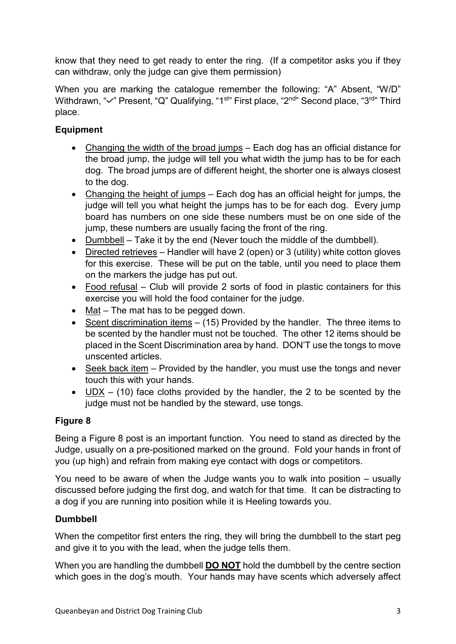know that they need to get ready to enter the ring. (If a competitor asks you if they can withdraw, only the judge can give them permission)

When you are marking the catalogue remember the following: "A" Absent, "W/D" Withdrawn, "v" Present, "Q" Qualifying, "1<sup>st</sup>" First place, "2<sup>nd</sup>" Second place, "3<sup>rd</sup>" Third place.

# **Equipment**

- Changing the width of the broad jumps Each dog has an official distance for the broad jump, the judge will tell you what width the jump has to be for each dog. The broad jumps are of different height, the shorter one is always closest to the dog.
- Changing the height of jumps Each dog has an official height for jumps, the judge will tell you what height the jumps has to be for each dog. Every jump board has numbers on one side these numbers must be on one side of the jump, these numbers are usually facing the front of the ring.
- Dumbbell Take it by the end (Never touch the middle of the dumbbell).
- Directed retrieves Handler will have 2 (open) or 3 (utility) white cotton gloves for this exercise. These will be put on the table, until you need to place them on the markers the judge has put out.
- Food refusal Club will provide 2 sorts of food in plastic containers for this exercise you will hold the food container for the judge.
- Mat The mat has to be pegged down.
- Scent discrimination items (15) Provided by the handler. The three items to be scented by the handler must not be touched. The other 12 items should be placed in the Scent Discrimination area by hand. DON'T use the tongs to move unscented articles.
- Seek back item Provided by the handler, you must use the tongs and never touch this with your hands.
- $UDX (10)$  face cloths provided by the handler, the 2 to be scented by the judge must not be handled by the steward, use tongs.

# **Figure 8**

Being a Figure 8 post is an important function. You need to stand as directed by the Judge, usually on a pre-positioned marked on the ground. Fold your hands in front of you (up high) and refrain from making eye contact with dogs or competitors.

You need to be aware of when the Judge wants you to walk into position – usually discussed before judging the first dog, and watch for that time. It can be distracting to a dog if you are running into position while it is Heeling towards you.

# **Dumbbell**

When the competitor first enters the ring, they will bring the dumbbell to the start peg and give it to you with the lead, when the judge tells them.

When you are handling the dumbbell **DO NOT** hold the dumbbell by the centre section which goes in the dog's mouth. Your hands may have scents which adversely affect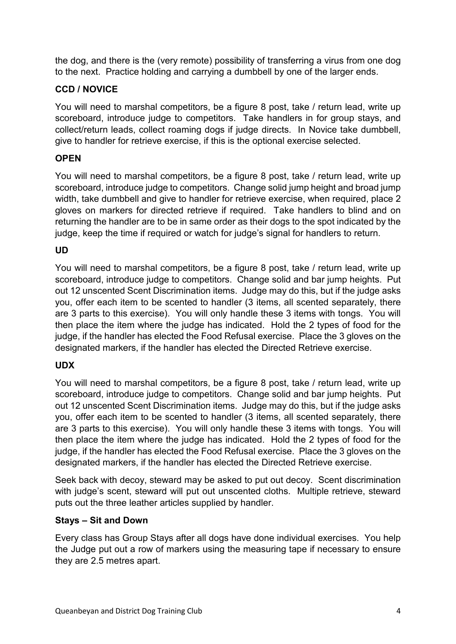the dog, and there is the (very remote) possibility of transferring a virus from one dog to the next. Practice holding and carrying a dumbbell by one of the larger ends.

## **CCD / NOVICE**

You will need to marshal competitors, be a figure 8 post, take / return lead, write up scoreboard, introduce judge to competitors. Take handlers in for group stays, and collect/return leads, collect roaming dogs if judge directs. In Novice take dumbbell, give to handler for retrieve exercise, if this is the optional exercise selected.

### **OPEN**

You will need to marshal competitors, be a figure 8 post, take / return lead, write up scoreboard, introduce judge to competitors. Change solid jump height and broad jump width, take dumbbell and give to handler for retrieve exercise, when required, place 2 gloves on markers for directed retrieve if required. Take handlers to blind and on returning the handler are to be in same order as their dogs to the spot indicated by the judge, keep the time if required or watch for judge's signal for handlers to return.

### **UD**

You will need to marshal competitors, be a figure 8 post, take / return lead, write up scoreboard, introduce judge to competitors. Change solid and bar jump heights. Put out 12 unscented Scent Discrimination items. Judge may do this, but if the judge asks you, offer each item to be scented to handler (3 items, all scented separately, there are 3 parts to this exercise). You will only handle these 3 items with tongs. You will then place the item where the judge has indicated. Hold the 2 types of food for the judge, if the handler has elected the Food Refusal exercise. Place the 3 gloves on the designated markers, if the handler has elected the Directed Retrieve exercise.

### **UDX**

You will need to marshal competitors, be a figure 8 post, take / return lead, write up scoreboard, introduce judge to competitors. Change solid and bar jump heights. Put out 12 unscented Scent Discrimination items. Judge may do this, but if the judge asks you, offer each item to be scented to handler (3 items, all scented separately, there are 3 parts to this exercise). You will only handle these 3 items with tongs. You will then place the item where the judge has indicated. Hold the 2 types of food for the judge, if the handler has elected the Food Refusal exercise. Place the 3 gloves on the designated markers, if the handler has elected the Directed Retrieve exercise.

Seek back with decoy, steward may be asked to put out decoy. Scent discrimination with judge's scent, steward will put out unscented cloths. Multiple retrieve, steward puts out the three leather articles supplied by handler.

#### **Stays – Sit and Down**

Every class has Group Stays after all dogs have done individual exercises. You help the Judge put out a row of markers using the measuring tape if necessary to ensure they are 2.5 metres apart.